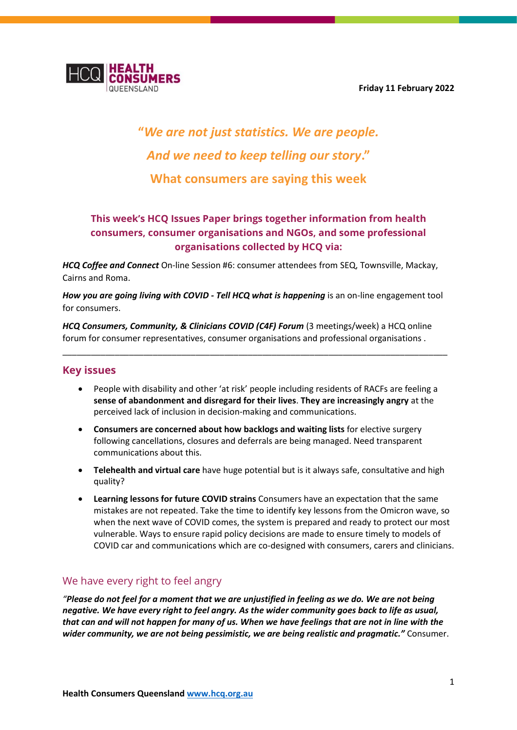**Friday 11 February 2022**



# **"***We are not just statistics. We are people. And we need to keep telling our story***." What consumers are saying this week**

# **This week's HCQ Issues Paper brings together information from health consumers, consumer organisations and NGOs, and some professional organisations collected by HCQ via:**

*HCQ Coffee and Connect* On-line Session #6: consumer attendees from SEQ, Townsville, Mackay, Cairns and Roma.

*How you are going living with COVID - Tell HCQ what is happening* is an on-line engagement tool for consumers.

*HCQ Consumers, Community, & Clinicians COVID (C4F) Forum* (3 meetings/week) a HCQ online forum for consumer representatives, consumer organisations and professional organisations .

\_\_\_\_\_\_\_\_\_\_\_\_\_\_\_\_\_\_\_\_\_\_\_\_\_\_\_\_\_\_\_\_\_\_\_\_\_\_\_\_\_\_\_\_\_\_\_\_\_\_\_\_\_\_\_\_\_\_\_\_\_\_\_\_\_\_\_\_\_\_\_\_\_\_\_\_\_\_\_\_\_

#### **Key issues**

- People with disability and other 'at risk' people including residents of RACFs are feeling a **sense of abandonment and disregard for their lives**. **They are increasingly angry** at the perceived lack of inclusion in decision-making and communications.
- **Consumers are concerned about how backlogs and waiting lists** for elective surgery following cancellations, closures and deferrals are being managed. Need transparent communications about this.
- **Telehealth and virtual care** have huge potential but is it always safe, consultative and high quality?
- **Learning lessons for future COVID strains** Consumers have an expectation that the same mistakes are not repeated. Take the time to identify key lessons from the Omicron wave, so when the next wave of COVID comes, the system is prepared and ready to protect our most vulnerable. Ways to ensure rapid policy decisions are made to ensure timely to models of COVID car and communications which are co-designed with consumers, carers and clinicians.

#### We have every right to feel angry

*"Please do not feel for a moment that we are unjustified in feeling as we do. We are not being negative. We have every right to feel angry. As the wider community goes back to life as usual, that can and will not happen for many of us. When we have feelings that are not in line with the wider community, we are not being pessimistic, we are being realistic and pragmatic."* Consumer.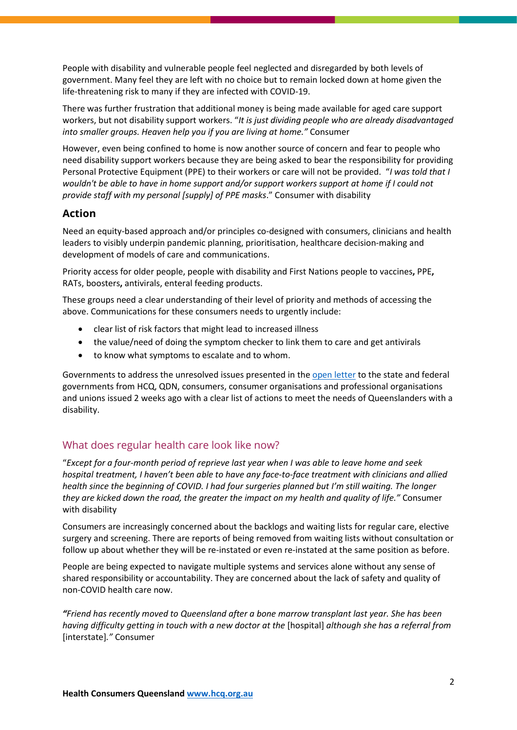People with disability and vulnerable people feel neglected and disregarded by both levels of government. Many feel they are left with no choice but to remain locked down at home given the life-threatening risk to many if they are infected with COVID-19.

There was further frustration that additional money is being made available for aged care support workers, but not disability support workers. "*It is just dividing people who are already disadvantaged into smaller groups. Heaven help you if you are living at home."* Consumer

However, even being confined to home is now another source of concern and fear to people who need disability support workers because they are being asked to bear the responsibility for providing Personal Protective Equipment (PPE) to their workers or care will not be provided. "*I was told that I wouldn't be able to have in home support and/or support workers support at home if I could not provide staff with my personal [supply] of PPE masks*." Consumer with disability

## **Action**

Need an equity-based approach and/or principles co-designed with consumers, clinicians and health leaders to visibly underpin pandemic planning, prioritisation, healthcare decision-making and development of models of care and communications.

Priority access for older people, people with disability and First Nations people to vaccines**,** PPE**,**  RATs, boosters**,** antivirals, enteral feeding products.

These groups need a clear understanding of their level of priority and methods of accessing the above. Communications for these consumers needs to urgently include:

- clear list of risk factors that might lead to increased illness
- the value/need of doing the symptom checker to link them to care and get antivirals
- to know what symptoms to escalate and to whom.

Governments to address the unresolved issues presented in th[e open letter](https://qdn.org.au/open-letter-to-commonwealth-and-state-governments-calling-for-immediate-actions/) to the state and federal governments from HCQ, QDN, consumers, consumer organisations and professional organisations and unions issued 2 weeks ago with a clear list of actions to meet the needs of Queenslanders with a disability.

## What does regular health care look like now?

"*Except for a four-month period of reprieve last year when I was able to leave home and seek hospital treatment, I haven't been able to have any face-to-face treatment with clinicians and allied health since the beginning of COVID. I had four surgeries planned but I'm still waiting. The longer they are kicked down the road, the greater the impact on my health and quality of life."* Consumer with disability

Consumers are increasingly concerned about the backlogs and waiting lists for regular care, elective surgery and screening. There are reports of being removed from waiting lists without consultation or follow up about whether they will be re-instated or even re-instated at the same position as before.

People are being expected to navigate multiple systems and services alone without any sense of shared responsibility or accountability. They are concerned about the lack of safety and quality of non-COVID health care now.

*"Friend has recently moved to Queensland after a bone marrow transplant last year. She has been having difficulty getting in touch with a new doctor at the* [hospital] *although she has a referral from*  [interstate]*."* Consumer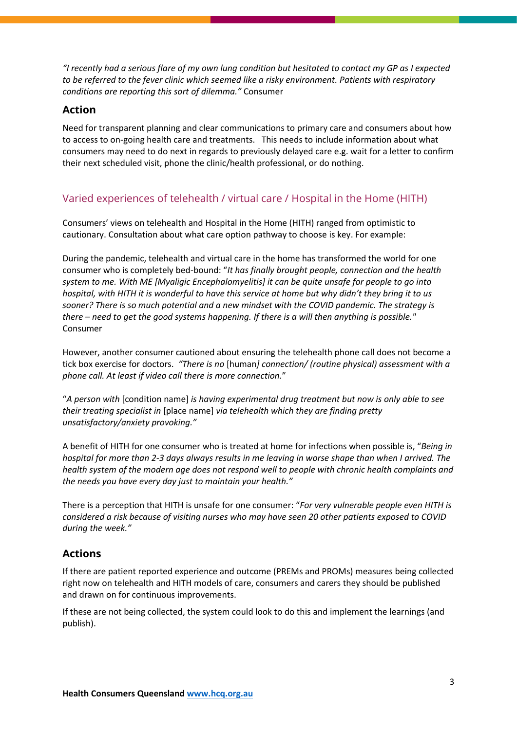*"I recently had a serious flare of my own lung condition but hesitated to contact my GP as I expected to be referred to the fever clinic which seemed like a risky environment. Patients with respiratory conditions are reporting this sort of dilemma."* Consumer

#### **Action**

Need for transparent planning and clear communications to primary care and consumers about how to access to on-going health care and treatments. This needs to include information about what consumers may need to do next in regards to previously delayed care e.g. wait for a letter to confirm their next scheduled visit, phone the clinic/health professional, or do nothing.

## Varied experiences of telehealth / virtual care / Hospital in the Home (HITH)

Consumers' views on telehealth and Hospital in the Home (HITH) ranged from optimistic to cautionary. Consultation about what care option pathway to choose is key. For example:

During the pandemic, telehealth and virtual care in the home has transformed the world for one consumer who is completely bed-bound: "*It has finally brought people, connection and the health system to me. With ME [Myaligic Encephalomyelitis] it can be quite unsafe for people to go into hospital, with HITH it is wonderful to have this service at home but why didn't they bring it to us sooner? There is so much potential and a new mindset with the COVID pandemic. The strategy is there – need to get the good systems happening. If there is a will then anything is possible."*  Consumer

However, another consumer cautioned about ensuring the telehealth phone call does not become a tick box exercise for doctors. *"There is no* [human*] connection/ (routine physical) assessment with a phone call. At least if video call there is more connection.*"

"*A person with* [condition name] *is having experimental drug treatment but now is only able to see their treating specialist in* [place name] *via telehealth which they are finding pretty unsatisfactory/anxiety provoking."*

A benefit of HITH for one consumer who is treated at home for infections when possible is, "*Being in hospital for more than 2-3 days always results in me leaving in worse shape than when I arrived. The health system of the modern age does not respond well to people with chronic health complaints and the needs you have every day just to maintain your health."*

There is a perception that HITH is unsafe for one consumer: "*For very vulnerable people even HITH is considered a risk because of visiting nurses who may have seen 20 other patients exposed to COVID during the week."*

#### **Actions**

If there are patient reported experience and outcome (PREMs and PROMs) measures being collected right now on telehealth and HITH models of care, consumers and carers they should be published and drawn on for continuous improvements.

If these are not being collected, the system could look to do this and implement the learnings (and publish).